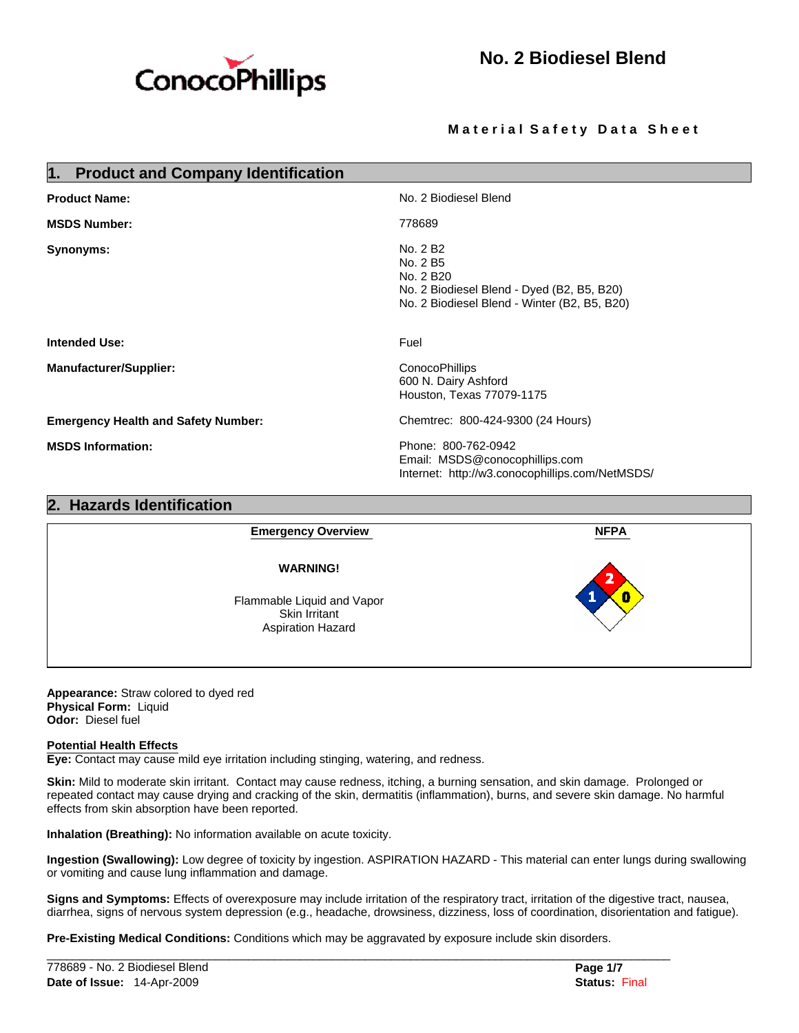

## **Material Safety Data Sheet**

| <b>Product and Company Identification</b><br>1. |                                                                                                                                             |
|-------------------------------------------------|---------------------------------------------------------------------------------------------------------------------------------------------|
| <b>Product Name:</b>                            | No. 2 Biodiesel Blend                                                                                                                       |
| <b>MSDS Number:</b>                             | 778689                                                                                                                                      |
| Synonyms:                                       | No. 2 B <sub>2</sub><br>No. 2 B5<br>No. 2 B20<br>No. 2 Biodiesel Blend - Dyed (B2, B5, B20)<br>No. 2 Biodiesel Blend - Winter (B2, B5, B20) |
| Intended Use:                                   | Fuel                                                                                                                                        |
| <b>Manufacturer/Supplier:</b>                   | ConocoPhillips<br>600 N. Dairy Ashford<br>Houston, Texas 77079-1175                                                                         |
| <b>Emergency Health and Safety Number:</b>      | Chemtrec: 800-424-9300 (24 Hours)                                                                                                           |
| <b>MSDS Information:</b>                        | Phone: 800-762-0942<br>Email: MSDS@conocophillips.com<br>Internet: http://w3.conocophillips.com/NetMSDS/                                    |
| <b>Hazards Identification</b>                   |                                                                                                                                             |



**Appearance:** Straw colored to dyed red **Physical Form:** Liquid **Odor:** Diesel fuel

## **Potential Health Effects**

**Eye:** Contact may cause mild eye irritation including stinging, watering, and redness.

**Skin:** Mild to moderate skin irritant. Contact may cause redness, itching, a burning sensation, and skin damage. Prolonged or repeated contact may cause drying and cracking of the skin, dermatitis (inflammation), burns, and severe skin damage. No harmful effects from skin absorption have been reported.

**Inhalation (Breathing):** No information available on acute toxicity.

**Ingestion (Swallowing):** Low degree of toxicity by ingestion. ASPIRATION HAZARD - This material can enter lungs during swallowing or vomiting and cause lung inflammation and damage.

**Signs and Symptoms:** Effects of overexposure may include irritation of the respiratory tract, irritation of the digestive tract, nausea, diarrhea, signs of nervous system depression (e.g., headache, drowsiness, dizziness, loss of coordination, disorientation and fatigue).

**Pre-Existing Medical Conditions:** Conditions which may be aggravated by exposure include skin disorders.

 $\mathcal{L}_\mathcal{L} = \{ \mathcal{L}_\mathcal{L} = \{ \mathcal{L}_\mathcal{L} = \{ \mathcal{L}_\mathcal{L} = \{ \mathcal{L}_\mathcal{L} = \{ \mathcal{L}_\mathcal{L} = \{ \mathcal{L}_\mathcal{L} = \{ \mathcal{L}_\mathcal{L} = \{ \mathcal{L}_\mathcal{L} = \{ \mathcal{L}_\mathcal{L} = \{ \mathcal{L}_\mathcal{L} = \{ \mathcal{L}_\mathcal{L} = \{ \mathcal{L}_\mathcal{L} = \{ \mathcal{L}_\mathcal{L} = \{ \mathcal{L}_\mathcal{$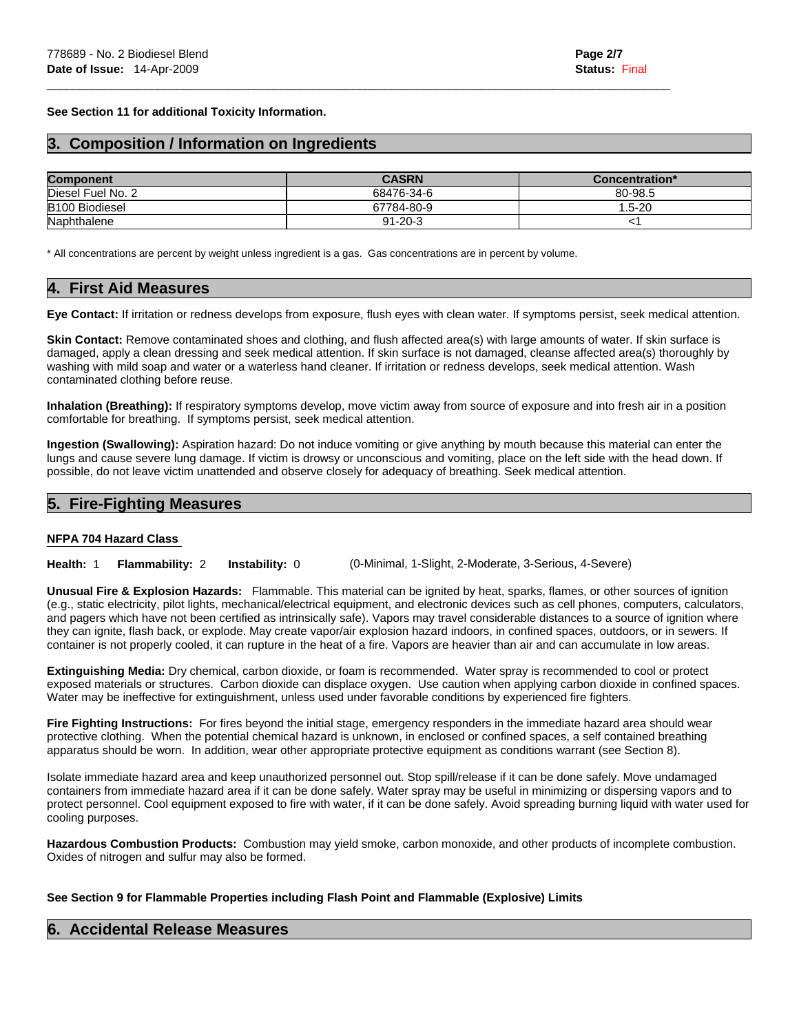**See Section 11 for additional Toxicity Information.** 

# **3. Composition / Information on Ingredients**

| <b>Component</b>      | <b>CASRN</b>  | Concentration* |
|-----------------------|---------------|----------------|
| Diesel Fuel No. 2     | 68476-34-6    | 80-98.5        |
| <b>B100 Biodiesel</b> | 67784-80-9    | $1.5 - 20$     |
| Naphthalene           | $91 - 20 - 3$ |                |

 $\mathcal{L}_\mathcal{L} = \{ \mathcal{L}_\mathcal{L} = \{ \mathcal{L}_\mathcal{L} = \{ \mathcal{L}_\mathcal{L} = \{ \mathcal{L}_\mathcal{L} = \{ \mathcal{L}_\mathcal{L} = \{ \mathcal{L}_\mathcal{L} = \{ \mathcal{L}_\mathcal{L} = \{ \mathcal{L}_\mathcal{L} = \{ \mathcal{L}_\mathcal{L} = \{ \mathcal{L}_\mathcal{L} = \{ \mathcal{L}_\mathcal{L} = \{ \mathcal{L}_\mathcal{L} = \{ \mathcal{L}_\mathcal{L} = \{ \mathcal{L}_\mathcal{$ 

\* All concentrations are percent by weight unless ingredient is a gas. Gas concentrations are in percent by volume.

# **4. First Aid Measures**

**Eye Contact:** If irritation or redness develops from exposure, flush eyes with clean water. If symptoms persist, seek medical attention.

**Skin Contact:** Remove contaminated shoes and clothing, and flush affected area(s) with large amounts of water. If skin surface is damaged, apply a clean dressing and seek medical attention. If skin surface is not damaged, cleanse affected area(s) thoroughly by washing with mild soap and water or a waterless hand cleaner. If irritation or redness develops, seek medical attention. Wash contaminated clothing before reuse.

**Inhalation (Breathing):** If respiratory symptoms develop, move victim away from source of exposure and into fresh air in a position comfortable for breathing. If symptoms persist, seek medical attention.

**Ingestion (Swallowing):** Aspiration hazard: Do not induce vomiting or give anything by mouth because this material can enter the lungs and cause severe lung damage. If victim is drowsy or unconscious and vomiting, place on the left side with the head down. If possible, do not leave victim unattended and observe closely for adequacy of breathing. Seek medical attention.

# **5. Fire-Fighting Measures**

### **NFPA 704 Hazard Class**

**Health:** 1 **Flammability:** 2 **Instability:** 0 (0-Minimal, 1-Slight, 2-Moderate, 3-Serious, 4-Severe)

**Unusual Fire & Explosion Hazards:** Flammable. This material can be ignited by heat, sparks, flames, or other sources of ignition (e.g., static electricity, pilot lights, mechanical/electrical equipment, and electronic devices such as cell phones, computers, calculators, and pagers which have not been certified as intrinsically safe). Vapors may travel considerable distances to a source of ignition where they can ignite, flash back, or explode. May create vapor/air explosion hazard indoors, in confined spaces, outdoors, or in sewers. If container is not properly cooled, it can rupture in the heat of a fire. Vapors are heavier than air and can accumulate in low areas.

**Extinguishing Media:** Dry chemical, carbon dioxide, or foam is recommended. Water spray is recommended to cool or protect exposed materials or structures. Carbon dioxide can displace oxygen. Use caution when applying carbon dioxide in confined spaces. Water may be ineffective for extinguishment, unless used under favorable conditions by experienced fire fighters.

**Fire Fighting Instructions:** For fires beyond the initial stage, emergency responders in the immediate hazard area should wear protective clothing. When the potential chemical hazard is unknown, in enclosed or confined spaces, a self contained breathing apparatus should be worn. In addition, wear other appropriate protective equipment as conditions warrant (see Section 8).

Isolate immediate hazard area and keep unauthorized personnel out. Stop spill/release if it can be done safely. Move undamaged containers from immediate hazard area if it can be done safely. Water spray may be useful in minimizing or dispersing vapors and to protect personnel. Cool equipment exposed to fire with water, if it can be done safely. Avoid spreading burning liquid with water used for cooling purposes.

**Hazardous Combustion Products:** Combustion may yield smoke, carbon monoxide, and other products of incomplete combustion. Oxides of nitrogen and sulfur may also be formed.

### **See Section 9 for Flammable Properties including Flash Point and Flammable (Explosive) Limits**

## **6. Accidental Release Measures**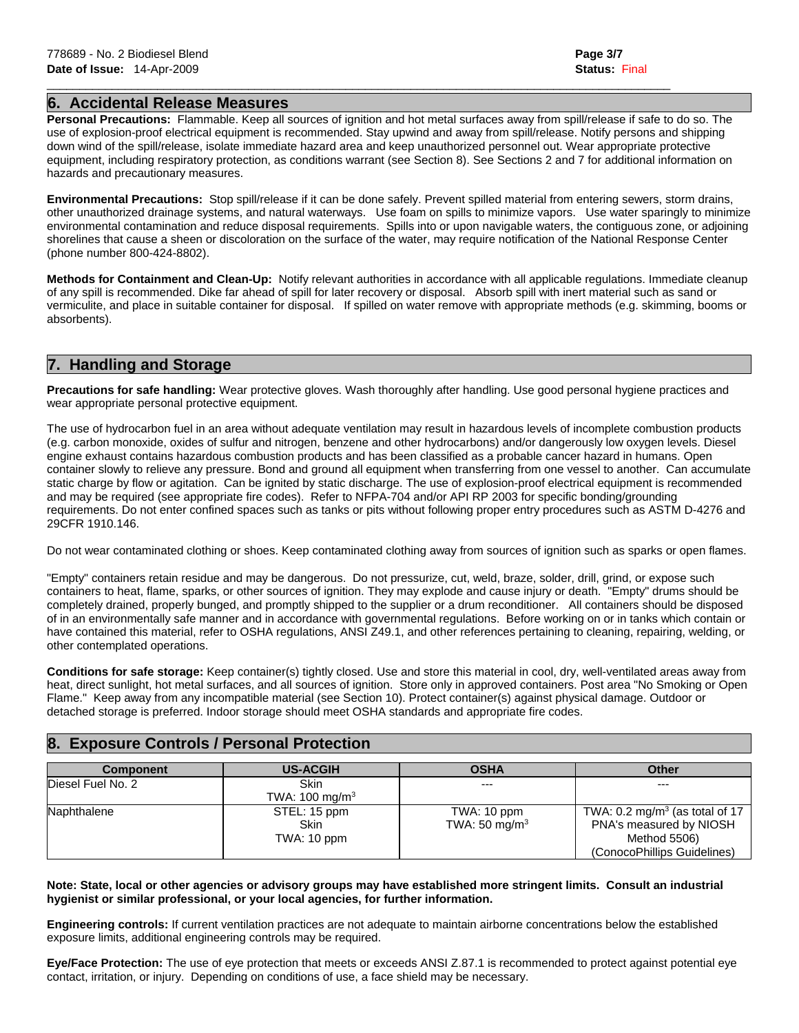# **6. Accidental Release Measures**

**Personal Precautions:** Flammable. Keep all sources of ignition and hot metal surfaces away from spill/release if safe to do so. The use of explosion-proof electrical equipment is recommended. Stay upwind and away from spill/release. Notify persons and shipping down wind of the spill/release, isolate immediate hazard area and keep unauthorized personnel out. Wear appropriate protective equipment, including respiratory protection, as conditions warrant (see Section 8). See Sections 2 and 7 for additional information on hazards and precautionary measures.

 $\mathcal{L}_\mathcal{L} = \{ \mathcal{L}_\mathcal{L} = \{ \mathcal{L}_\mathcal{L} = \{ \mathcal{L}_\mathcal{L} = \{ \mathcal{L}_\mathcal{L} = \{ \mathcal{L}_\mathcal{L} = \{ \mathcal{L}_\mathcal{L} = \{ \mathcal{L}_\mathcal{L} = \{ \mathcal{L}_\mathcal{L} = \{ \mathcal{L}_\mathcal{L} = \{ \mathcal{L}_\mathcal{L} = \{ \mathcal{L}_\mathcal{L} = \{ \mathcal{L}_\mathcal{L} = \{ \mathcal{L}_\mathcal{L} = \{ \mathcal{L}_\mathcal{$ 

**Environmental Precautions:** Stop spill/release if it can be done safely. Prevent spilled material from entering sewers, storm drains, other unauthorized drainage systems, and natural waterways. Use foam on spills to minimize vapors. Use water sparingly to minimize environmental contamination and reduce disposal requirements. Spills into or upon navigable waters, the contiguous zone, or adjoining shorelines that cause a sheen or discoloration on the surface of the water, may require notification of the National Response Center (phone number 800-424-8802).

**Methods for Containment and Clean-Up:** Notify relevant authorities in accordance with all applicable regulations. Immediate cleanup of any spill is recommended. Dike far ahead of spill for later recovery or disposal. Absorb spill with inert material such as sand or vermiculite, and place in suitable container for disposal. If spilled on water remove with appropriate methods (e.g. skimming, booms or absorbents).

# **7. Handling and Storage**

**Precautions for safe handling:** Wear protective gloves. Wash thoroughly after handling. Use good personal hygiene practices and wear appropriate personal protective equipment.

The use of hydrocarbon fuel in an area without adequate ventilation may result in hazardous levels of incomplete combustion products (e.g. carbon monoxide, oxides of sulfur and nitrogen, benzene and other hydrocarbons) and/or dangerously low oxygen levels. Diesel engine exhaust contains hazardous combustion products and has been classified as a probable cancer hazard in humans. Open container slowly to relieve any pressure. Bond and ground all equipment when transferring from one vessel to another. Can accumulate static charge by flow or agitation. Can be ignited by static discharge. The use of explosion-proof electrical equipment is recommended and may be required (see appropriate fire codes). Refer to NFPA-704 and/or API RP 2003 for specific bonding/grounding requirements. Do not enter confined spaces such as tanks or pits without following proper entry procedures such as ASTM D-4276 and 29CFR 1910.146.

Do not wear contaminated clothing or shoes. Keep contaminated clothing away from sources of ignition such as sparks or open flames.

"Empty" containers retain residue and may be dangerous. Do not pressurize, cut, weld, braze, solder, drill, grind, or expose such containers to heat, flame, sparks, or other sources of ignition. They may explode and cause injury or death. "Empty" drums should be completely drained, properly bunged, and promptly shipped to the supplier or a drum reconditioner. All containers should be disposed of in an environmentally safe manner and in accordance with governmental regulations. Before working on or in tanks which contain or have contained this material, refer to OSHA regulations, ANSI Z49.1, and other references pertaining to cleaning, repairing, welding, or other contemplated operations.

**Conditions for safe storage:** Keep container(s) tightly closed. Use and store this material in cool, dry, well-ventilated areas away from heat, direct sunlight, hot metal surfaces, and all sources of ignition. Store only in approved containers. Post area "No Smoking or Open Flame." Keep away from any incompatible material (see Section 10). Protect container(s) against physical damage. Outdoor or detached storage is preferred. Indoor storage should meet OSHA standards and appropriate fire codes.

# **8. Exposure Controls / Personal Protection**

| <b>Component</b>  | <b>US-ACGIH</b>            | <b>OSHA</b>               | <b>Other</b>                              |
|-------------------|----------------------------|---------------------------|-------------------------------------------|
| Diesel Fuel No. 2 | Skin                       | $- - -$                   | $---$                                     |
|                   | TWA: 100 mg/m <sup>3</sup> |                           |                                           |
| Naphthalene       | STEL: 15 ppm               | TWA: 10 ppm               | TWA: $0.2 \text{ mg/m}^3$ (as total of 17 |
|                   | Skin                       | TWA: 50 mg/m <sup>3</sup> | PNA's measured by NIOSH                   |
|                   | TWA: 10 ppm                |                           | Method 5506)                              |
|                   |                            |                           | (ConocoPhillips Guidelines)               |

### **Note: State, local or other agencies or advisory groups may have established more stringent limits. Consult an industrial hygienist or similar professional, or your local agencies, for further information.**

**Engineering controls:** If current ventilation practices are not adequate to maintain airborne concentrations below the established exposure limits, additional engineering controls may be required.

**Eye/Face Protection:** The use of eye protection that meets or exceeds ANSI Z.87.1 is recommended to protect against potential eye contact, irritation, or injury. Depending on conditions of use, a face shield may be necessary.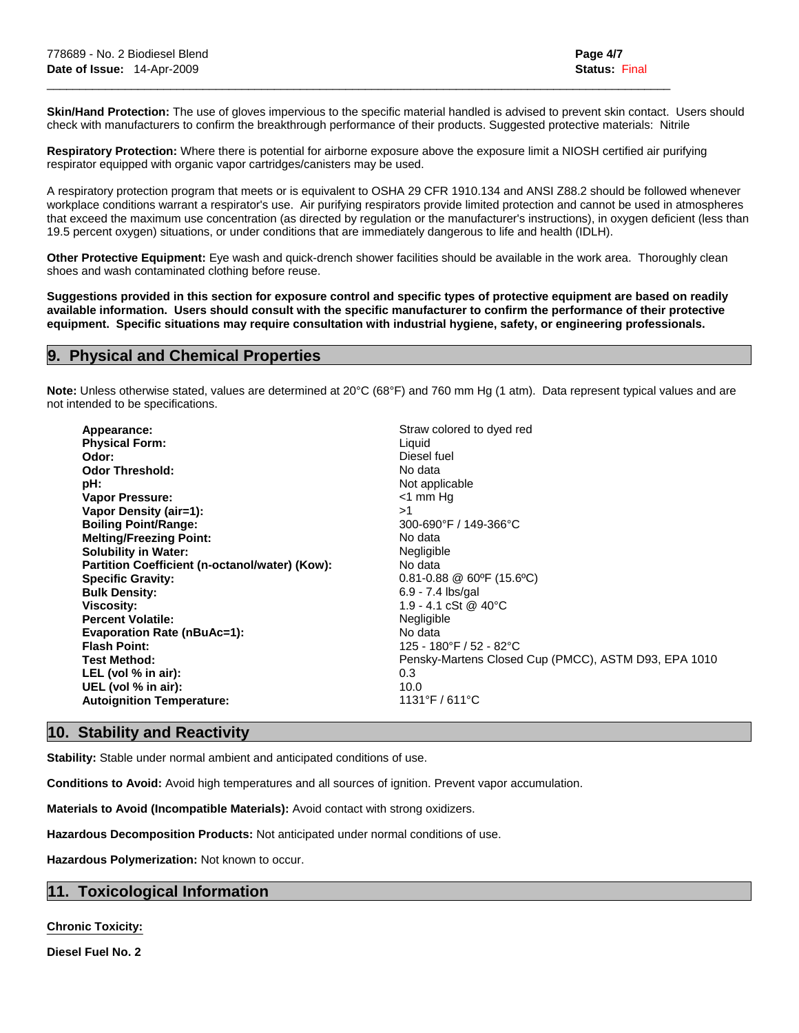**Skin/Hand Protection:** The use of gloves impervious to the specific material handled is advised to prevent skin contact. Users should check with manufacturers to confirm the breakthrough performance of their products. Suggested protective materials: Nitrile

**Respiratory Protection:** Where there is potential for airborne exposure above the exposure limit a NIOSH certified air purifying respirator equipped with organic vapor cartridges/canisters may be used.

 $\mathcal{L}_\mathcal{L} = \{ \mathcal{L}_\mathcal{L} = \{ \mathcal{L}_\mathcal{L} = \{ \mathcal{L}_\mathcal{L} = \{ \mathcal{L}_\mathcal{L} = \{ \mathcal{L}_\mathcal{L} = \{ \mathcal{L}_\mathcal{L} = \{ \mathcal{L}_\mathcal{L} = \{ \mathcal{L}_\mathcal{L} = \{ \mathcal{L}_\mathcal{L} = \{ \mathcal{L}_\mathcal{L} = \{ \mathcal{L}_\mathcal{L} = \{ \mathcal{L}_\mathcal{L} = \{ \mathcal{L}_\mathcal{L} = \{ \mathcal{L}_\mathcal{$ 

A respiratory protection program that meets or is equivalent to OSHA 29 CFR 1910.134 and ANSI Z88.2 should be followed whenever workplace conditions warrant a respirator's use. Air purifying respirators provide limited protection and cannot be used in atmospheres that exceed the maximum use concentration (as directed by regulation or the manufacturer's instructions), in oxygen deficient (less than 19.5 percent oxygen) situations, or under conditions that are immediately dangerous to life and health (IDLH).

**Other Protective Equipment:** Eye wash and quick-drench shower facilities should be available in the work area. Thoroughly clean shoes and wash contaminated clothing before reuse.

**Suggestions provided in this section for exposure control and specific types of protective equipment are based on readily available information. Users should consult with the specific manufacturer to confirm the performance of their protective equipment. Specific situations may require consultation with industrial hygiene, safety, or engineering professionals.** 

## **9. Physical and Chemical Properties**

**Note:** Unless otherwise stated, values are determined at 20°C (68°F) and 760 mm Hg (1 atm). Data represent typical values and are not intended to be specifications.

| Appearance:<br><b>Physical Form:</b><br>Odor:<br><b>Odor Threshold:</b><br>pH:<br><b>Vapor Pressure:</b><br>Vapor Density (air=1):<br><b>Boiling Point/Range:</b><br><b>Melting/Freezing Point:</b><br><b>Solubility in Water:</b><br>Partition Coefficient (n-octanol/water) (Kow):<br><b>Specific Gravity:</b><br><b>Bulk Density:</b><br><b>Viscosity:</b><br><b>Percent Volatile:</b><br><b>Evaporation Rate (nBuAc=1):</b> | Straw colored to dyed red<br>Liquid<br>Diesel fuel<br>No data<br>Not applicable<br>$<$ 1 mm Hg<br>>1<br>300-690°F / 149-366°C<br>No data<br>Negligible<br>No data<br>$0.81 - 0.88 \ @ 60$ °F (15.6°C)<br>6.9 - 7.4 lbs/gal<br>$1.9 - 4.1$ cSt @ 40 °C<br>Negligible<br>No data<br>125 - 180°F / 52 - 82°C |
|---------------------------------------------------------------------------------------------------------------------------------------------------------------------------------------------------------------------------------------------------------------------------------------------------------------------------------------------------------------------------------------------------------------------------------|-----------------------------------------------------------------------------------------------------------------------------------------------------------------------------------------------------------------------------------------------------------------------------------------------------------|
| <b>Flash Point:</b>                                                                                                                                                                                                                                                                                                                                                                                                             |                                                                                                                                                                                                                                                                                                           |
| <b>Test Method:</b><br>LEL (vol $%$ in air):<br>UEL (vol % in air):<br><b>Autoignition Temperature:</b>                                                                                                                                                                                                                                                                                                                         | Pensky-Martens Closed Cup (PMCC), ASTM D93, EPA 1010<br>0.3<br>10.0<br>$1131^{\circ}$ F / 611 $^{\circ}$ C                                                                                                                                                                                                |

# **10. Stability and Reactivity**

**Stability:** Stable under normal ambient and anticipated conditions of use.

**Conditions to Avoid:** Avoid high temperatures and all sources of ignition. Prevent vapor accumulation.

**Materials to Avoid (Incompatible Materials):** Avoid contact with strong oxidizers.

**Hazardous Decomposition Products:** Not anticipated under normal conditions of use.

**Hazardous Polymerization:** Not known to occur.

# **11. Toxicological Information**

**Chronic Toxicity:**

**Diesel Fuel No. 2**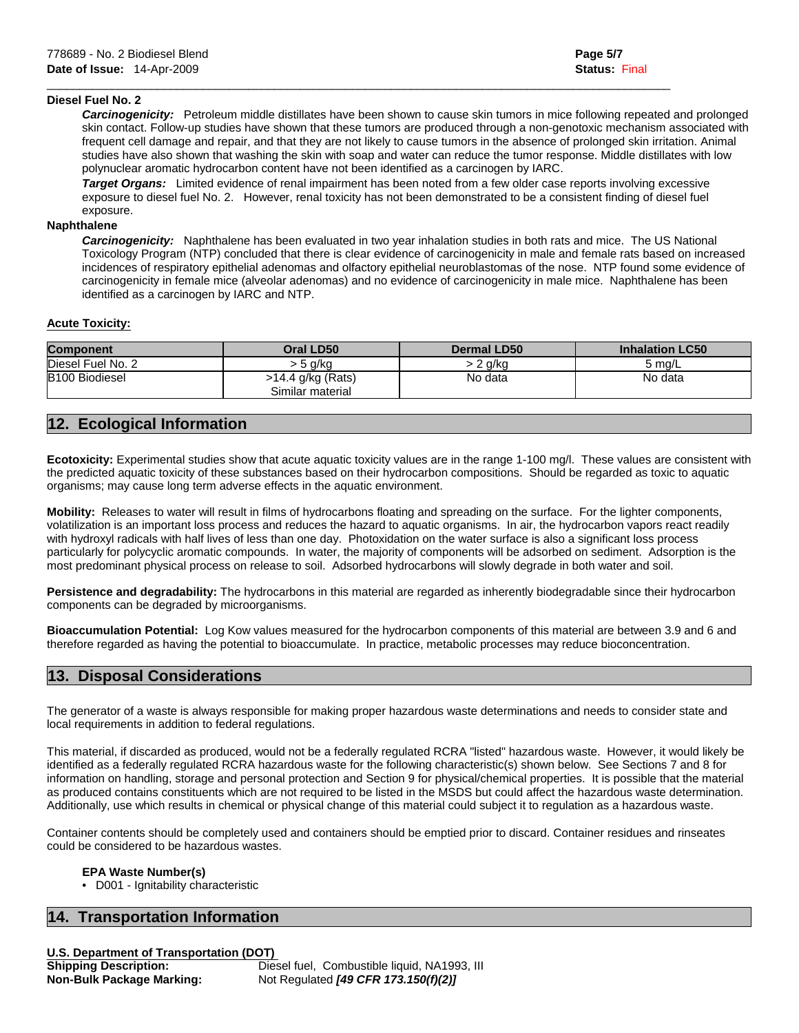### **Diesel Fuel No. 2**

 *Carcinogenicity:* Petroleum middle distillates have been shown to cause skin tumors in mice following repeated and prolonged skin contact. Follow-up studies have shown that these tumors are produced through a non-genotoxic mechanism associated with frequent cell damage and repair, and that they are not likely to cause tumors in the absence of prolonged skin irritation. Animal studies have also shown that washing the skin with soap and water can reduce the tumor response. Middle distillates with low polynuclear aromatic hydrocarbon content have not been identified as a carcinogen by IARC.

 *Target Organs:* Limited evidence of renal impairment has been noted from a few older case reports involving excessive exposure to diesel fuel No. 2. However, renal toxicity has not been demonstrated to be a consistent finding of diesel fuel exposure.

 $\mathcal{L}_\mathcal{L} = \{ \mathcal{L}_\mathcal{L} = \{ \mathcal{L}_\mathcal{L} = \{ \mathcal{L}_\mathcal{L} = \{ \mathcal{L}_\mathcal{L} = \{ \mathcal{L}_\mathcal{L} = \{ \mathcal{L}_\mathcal{L} = \{ \mathcal{L}_\mathcal{L} = \{ \mathcal{L}_\mathcal{L} = \{ \mathcal{L}_\mathcal{L} = \{ \mathcal{L}_\mathcal{L} = \{ \mathcal{L}_\mathcal{L} = \{ \mathcal{L}_\mathcal{L} = \{ \mathcal{L}_\mathcal{L} = \{ \mathcal{L}_\mathcal{$ 

# **Naphthalene**

 *Carcinogenicity:* Naphthalene has been evaluated in two year inhalation studies in both rats and mice. The US National Toxicology Program (NTP) concluded that there is clear evidence of carcinogenicity in male and female rats based on increased incidences of respiratory epithelial adenomas and olfactory epithelial neuroblastomas of the nose. NTP found some evidence of carcinogenicity in female mice (alveolar adenomas) and no evidence of carcinogenicity in male mice. Naphthalene has been identified as a carcinogen by IARC and NTP.

### **Acute Toxicity:**

| <b>Component</b>      | <b>Oral LD50</b>                      | <b>Dermal LD50</b> | <b>Inhalation LC50</b> |
|-----------------------|---------------------------------------|--------------------|------------------------|
| Diesel Fuel No. 2     | 5 g/kg                                | 2 a/ka             | 5 ma/L                 |
| <b>B100 Biodiesel</b> | >14.4 g/kg (Rats)<br>Similar material | No data            | No data                |

# **12. Ecological Information**

Ecotoxicity: Experimental studies show that acute aquatic toxicity values are in the range 1-100 mg/l. These values are consistent with the predicted aquatic toxicity of these substances based on their hydrocarbon compositions. Should be regarded as toxic to aquatic organisms; may cause long term adverse effects in the aquatic environment.

**Mobility:** Releases to water will result in films of hydrocarbons floating and spreading on the surface. For the lighter components, volatilization is an important loss process and reduces the hazard to aquatic organisms. In air, the hydrocarbon vapors react readily with hydroxyl radicals with half lives of less than one day. Photoxidation on the water surface is also a significant loss process particularly for polycyclic aromatic compounds. In water, the majority of components will be adsorbed on sediment. Adsorption is the most predominant physical process on release to soil. Adsorbed hydrocarbons will slowly degrade in both water and soil.

**Persistence and degradability:** The hydrocarbons in this material are regarded as inherently biodegradable since their hydrocarbon components can be degraded by microorganisms.

**Bioaccumulation Potential:** Log Kow values measured for the hydrocarbon components of this material are between 3.9 and 6 and therefore regarded as having the potential to bioaccumulate. In practice, metabolic processes may reduce bioconcentration.

# **13. Disposal Considerations**

The generator of a waste is always responsible for making proper hazardous waste determinations and needs to consider state and local requirements in addition to federal regulations.

This material, if discarded as produced, would not be a federally regulated RCRA "listed" hazardous waste. However, it would likely be identified as a federally regulated RCRA hazardous waste for the following characteristic(s) shown below. See Sections 7 and 8 for information on handling, storage and personal protection and Section 9 for physical/chemical properties. It is possible that the material as produced contains constituents which are not required to be listed in the MSDS but could affect the hazardous waste determination. Additionally, use which results in chemical or physical change of this material could subject it to regulation as a hazardous waste.

Container contents should be completely used and containers should be emptied prior to discard. Container residues and rinseates could be considered to be hazardous wastes.

### **EPA Waste Number(s)**

• D001 - Ignitability characteristic

## **16. Transportation Information**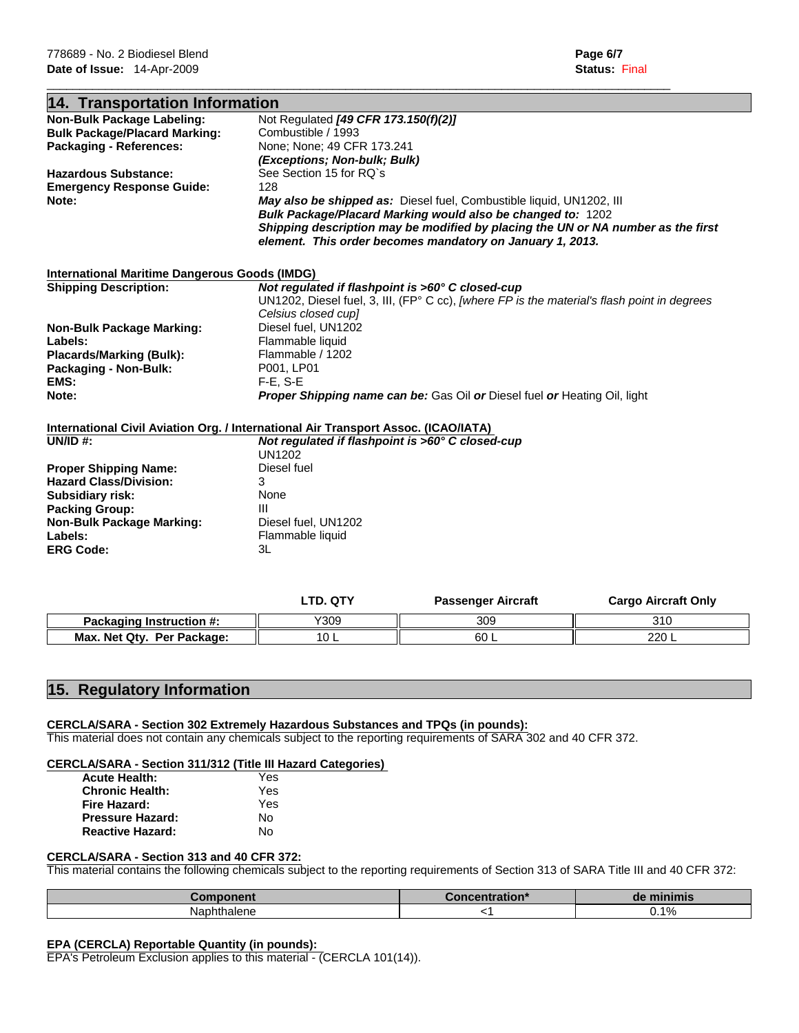| 14. Transportation Information                       |                                                                                                       |
|------------------------------------------------------|-------------------------------------------------------------------------------------------------------|
| Non-Bulk Package Labeling:                           | Not Regulated [49 CFR 173.150(f)(2)]                                                                  |
| <b>Bulk Package/Placard Marking:</b>                 | Combustible / 1993                                                                                    |
| <b>Packaging - References:</b>                       | None; None; 49 CFR 173.241                                                                            |
|                                                      | (Exceptions; Non-bulk; Bulk)                                                                          |
| <b>Hazardous Substance:</b>                          | See Section 15 for RQ's                                                                               |
| <b>Emergency Response Guide:</b>                     | 128                                                                                                   |
| Note:                                                | May also be shipped as: Diesel fuel, Combustible liquid, UN1202, III                                  |
|                                                      | Bulk Package/Placard Marking would also be changed to: 1202                                           |
|                                                      | Shipping description may be modified by placing the UN or NA number as the first                      |
|                                                      | element. This order becomes mandatory on January 1, 2013.                                             |
|                                                      |                                                                                                       |
|                                                      |                                                                                                       |
| <b>International Maritime Dangerous Goods (IMDG)</b> |                                                                                                       |
| <b>Shipping Description:</b>                         | Not regulated if flashpoint is >60° C closed-cup                                                      |
|                                                      | UN1202, Diesel fuel, 3, III, (FP $^{\circ}$ C cc), [where FP is the material's flash point in degrees |
|                                                      | Celsius closed cupl                                                                                   |
| <b>Non-Bulk Package Marking:</b>                     | Diesel fuel, UN1202                                                                                   |
| Labels:                                              | Flammable liquid                                                                                      |
| <b>Placards/Marking (Bulk):</b>                      | Flammable / 1202                                                                                      |
| Packaging - Non-Bulk:                                | P001. LP01                                                                                            |
| EMS:                                                 | $F-E. S-E$                                                                                            |
| Note:                                                | <b>Proper Shipping name can be:</b> Gas Oil or Diesel fuel or Heating Oil, light                      |
|                                                      |                                                                                                       |
|                                                      | International Civil Aviation Org. / International Air Transport Assoc. (ICAO/IATA)                    |
| UN/ID $#$ :                                          | Not regulated if flashpoint is >60° C closed-cup                                                      |
|                                                      | <b>UN1202</b>                                                                                         |
| <b>Proper Shipping Name:</b>                         | Diesel fuel                                                                                           |
| <b>Hazard Class/Division:</b>                        | 3                                                                                                     |
| <b>Subsidiary risk:</b>                              | None                                                                                                  |
| <b>Packing Group:</b>                                | Ш                                                                                                     |
| <b>Non-Bulk Package Marking:</b>                     | Diesel fuel, UN1202                                                                                   |
| Labels:                                              | Flammable liquid                                                                                      |
| <b>ERG Code:</b>                                     | 3L                                                                                                    |
|                                                      |                                                                                                       |
|                                                      |                                                                                                       |

 $\mathcal{L}_\mathcal{L} = \{ \mathcal{L}_\mathcal{L} = \{ \mathcal{L}_\mathcal{L} = \{ \mathcal{L}_\mathcal{L} = \{ \mathcal{L}_\mathcal{L} = \{ \mathcal{L}_\mathcal{L} = \{ \mathcal{L}_\mathcal{L} = \{ \mathcal{L}_\mathcal{L} = \{ \mathcal{L}_\mathcal{L} = \{ \mathcal{L}_\mathcal{L} = \{ \mathcal{L}_\mathcal{L} = \{ \mathcal{L}_\mathcal{L} = \{ \mathcal{L}_\mathcal{L} = \{ \mathcal{L}_\mathcal{L} = \{ \mathcal{L}_\mathcal{$ 

|                                 | LTD. QTY    | Passenger Aircraft | <b>Cargo Aircraft Only</b> |
|---------------------------------|-------------|--------------------|----------------------------|
| <b>Packaging Instruction #:</b> | Y309        | 309                | 310                        |
| Max. Net Qty. Per Package:      | 1 ∩<br>ם טו | 60 L               | 220 L                      |

# **15. Regulatory Information**

## **CERCLA/SARA - Section 302 Extremely Hazardous Substances and TPQs (in pounds):**

This material does not contain any chemicals subject to the reporting requirements of SARA 302 and 40 CFR 372.

# **CERCLA/SARA - Section 311/312 (Title III Hazard Categories)**

| <b>Acute Health:</b>    | Yes |
|-------------------------|-----|
| <b>Chronic Health:</b>  | Yes |
| Fire Hazard:            | Yes |
| <b>Pressure Hazard:</b> | Nο  |
| <b>Reactive Hazard:</b> | No  |
|                         |     |

## **CERCLA/SARA - Section 313 and 40 CFR 372:**

This material contains the following chemicals subject to the reporting requirements of Section 313 of SARA Title III and 40 CFR 372:

| зw                              | - --<br>uon | m.       |
|---------------------------------|-------------|----------|
| Nap <sub>i</sub><br>.<br>naiene |             | 1%<br>◡. |

# **EPA (CERCLA) Reportable Quantity (in pounds):**

EPA's Petroleum Exclusion applies to this material - (CERCLA 101(14)).